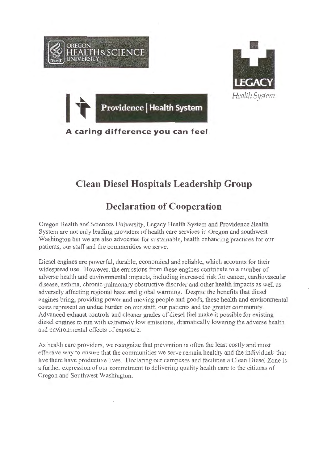

## **Clean Diesel Hospitals Leadership Group**

## **Declaration of Cooperation**

Oregon Health and Sciences University, Legacy Health System and Providence Health System are not only leading providers of health care services in Oregon and southwest Washington but we are also advocates for sustainable, health enhancing practices for our patients, our staff and the communities we serve.

Diesel engines are powerful, durable, economical and reliable, which accounts for their widespread use. However, the emissions from these engines contribute to a number of adverse health and environmental impacts, including increased risk for cancer, cardiovascular disease, asthma, chronic pulmonary obstructive disorder and other health impacts as well as adversely affecting regional haze and global warming. Despite the benefits that diesel engines bring, providing power and moving people and goods, these health and environmental costs represent an undue burden on our staff, our patients and the greater community. Advanced exhaust controls and cleaner grades of diesel fuel make it possible for existing diesel engines to run with extremely low emissions, dramatically lowering the adverse health and environmental effects of exposure.

As health care providers, we recognize that prevention is often the least costly and most effective way to ensure that the communities we serve remain healthy and the individuals that live there have productive lives. Declaring our campuses and facilities a Clean Diesel Zone is a further expression of our commitment to delivering quality health care to the citizens of Oregon and Southwest Washington.